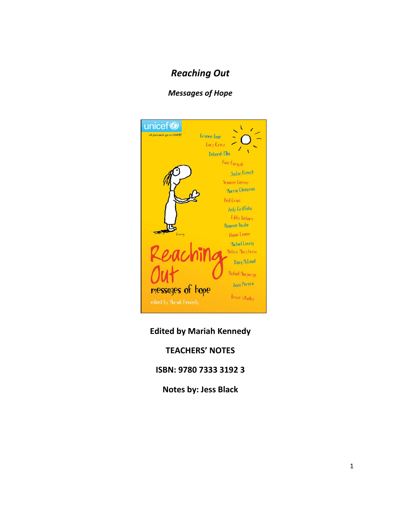# *Reaching Out*

## *Messages of Hope*



## **Edited by Mariah Kennedy**

## **TEACHERS' NOTES**

## **ISBN: 9780 7333 3192 3**

**Notes by: Jess Black**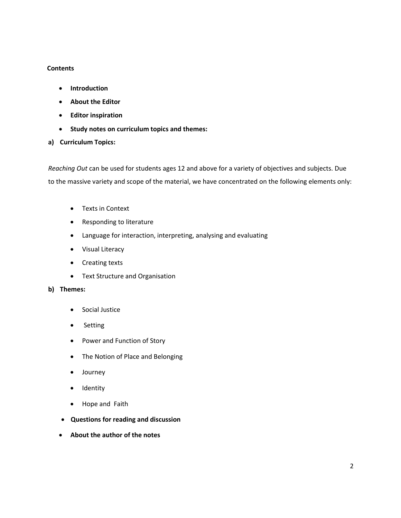#### **Contents**

- **Introduction**
- **About the Editor**
- **Editor inspiration**
- **Study notes on curriculum topics and themes:**
- **a) Curriculum Topics:**

*Reaching Out* can be used for students ages 12 and above for a variety of objectives and subjects. Due to the massive variety and scope of the material, we have concentrated on the following elements only:

- Texts in Context
- Responding to literature
- Language for interaction, interpreting, analysing and evaluating
- Visual Literacy
- Creating texts
- Text Structure and Organisation

#### **b) Themes:**

- **•** Social Justice
- Setting
- Power and Function of Story
- The Notion of Place and Belonging
- Journey
- Identity
- Hope and Faith
- **Questions for reading and discussion**
- **About the author of the notes**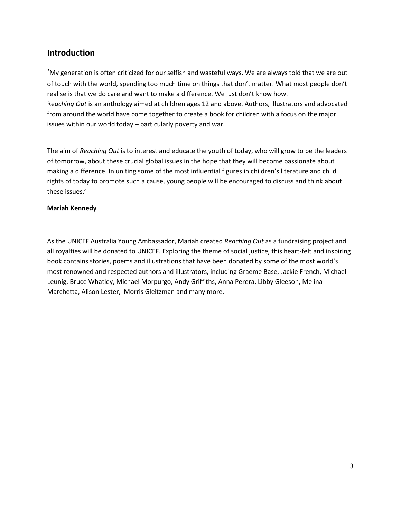## **Introduction**

'My generation is often criticized for our selfish and wasteful ways. We are always told that we are out of touch with the world, spending too much time on things that don't matter. What most people don't realise is that we do care and want to make a difference. We just don't know how. Re*aching Out* is an anthology aimed at children ages 12 and above. Authors, illustrators and advocated from around the world have come together to create a book for children with a focus on the major issues within our world today – particularly poverty and war.

The aim of *Reaching Out* is to interest and educate the youth of today, who will grow to be the leaders of tomorrow, about these crucial global issues in the hope that they will become passionate about making a difference. In uniting some of the most influential figures in children's literature and child rights of today to promote such a cause, young people will be encouraged to discuss and think about these issues.'

#### **Mariah Kennedy**

As the UNICEF Australia Young Ambassador, Mariah created *Reaching Out* as a fundraising project and all royalties will be donated to UNICEF. Exploring the theme of social justice, this heart-felt and inspiring book contains stories, poems and illustrations that have been donated by some of the most world's most renowned and respected authors and illustrators, including Graeme Base, Jackie French, Michael Leunig, Bruce Whatley, Michael Morpurgo, Andy Griffiths, Anna Perera, Libby Gleeson, Melina Marchetta, Alison Lester, Morris Gleitzman and many more.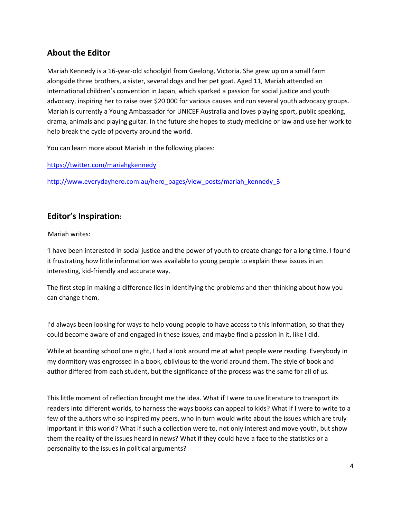## **About the Editor**

Mariah Kennedy is a 16-year-old schoolgirl from Geelong, Victoria. She grew up on a small farm alongside three brothers, a sister, several dogs and her pet goat. Aged 11, Mariah attended an international children's convention in Japan, which sparked a passion for social justice and youth advocacy, inspiring her to raise over \$20 000 for various causes and run several youth advocacy groups. Mariah is currently a Young Ambassador for UNICEF Australia and loves playing sport, public speaking, drama, animals and playing guitar. In the future she hopes to study medicine or law and use her work to help break the cycle of poverty around the world.

You can learn more about Mariah in the following places:

<https://twitter.com/mariahgkennedy>

http://www.everydayhero.com.au/hero\_pages/view\_posts/mariah\_kennedy\_3

## **Editor's Inspiration:**

Mariah writes:

'I have been interested in social justice and the power of youth to create change for a long time. I found it frustrating how little information was available to young people to explain these issues in an interesting, kid-friendly and accurate way.

The first step in making a difference lies in identifying the problems and then thinking about how you can change them.

I'd always been looking for ways to help young people to have access to this information, so that they could become aware of and engaged in these issues, and maybe find a passion in it, like I did.

While at boarding school one night, I had a look around me at what people were reading. Everybody in my dormitory was engrossed in a book, oblivious to the world around them. The style of book and author differed from each student, but the significance of the process was the same for all of us.

This little moment of reflection brought me the idea. What if I were to use literature to transport its readers into different worlds, to harness the ways books can appeal to kids? What if I were to write to a few of the authors who so inspired my peers, who in turn would write about the issues which are truly important in this world? What if such a collection were to, not only interest and move youth, but show them the reality of the issues heard in news? What if they could have a face to the statistics or a personality to the issues in political arguments?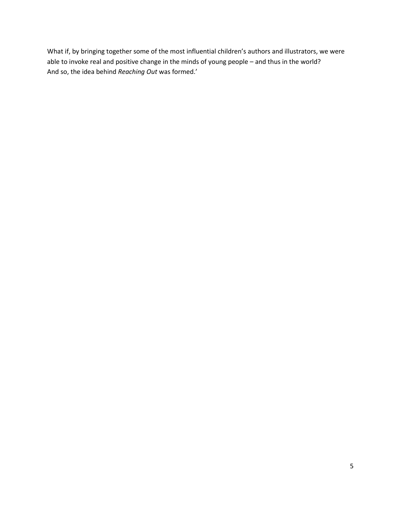What if, by bringing together some of the most influential children's authors and illustrators, we were able to invoke real and positive change in the minds of young people – and thus in the world? And so, the idea behind *Reaching Out* was formed.'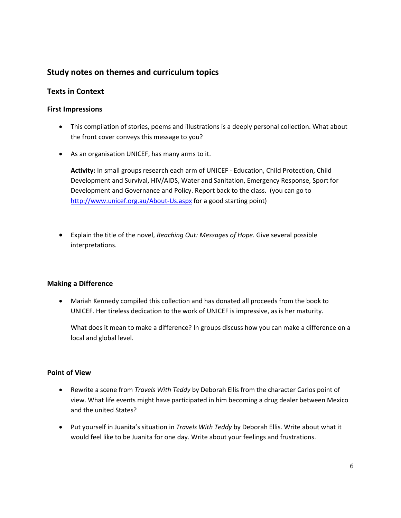## **Study notes on themes and curriculum topics**

### **Texts in Context**

#### **First Impressions**

- This compilation of stories, poems and illustrations is a deeply personal collection. What about the front cover conveys this message to you?
- As an organisation UNICEF, has many arms to it.

**Activity:** In small groups research each arm of UNICEF - Education, Child Protection, Child Development and Survival, HIV/AIDS, Water and Sanitation, Emergency Response, Sport for Development and Governance and Policy. Report back to the class. (you can go to <http://www.unicef.org.au/About-Us.aspx> for a good starting point)

 Explain the title of the novel, *Reaching Out: Messages of Hope*. Give several possible interpretations.

#### **Making a Difference**

 Mariah Kennedy compiled this collection and has donated all proceeds from the book to UNICEF. Her tireless dedication to the work of UNICEF is impressive, as is her maturity.

What does it mean to make a difference? In groups discuss how you can make a difference on a local and global level.

#### **Point of View**

- Rewrite a scene from *Travels With Teddy* by Deborah Ellis from the character Carlos point of view. What life events might have participated in him becoming a drug dealer between Mexico and the united States?
- Put yourself in Juanita's situation in *Travels With Teddy* by Deborah Ellis. Write about what it would feel like to be Juanita for one day. Write about your feelings and frustrations.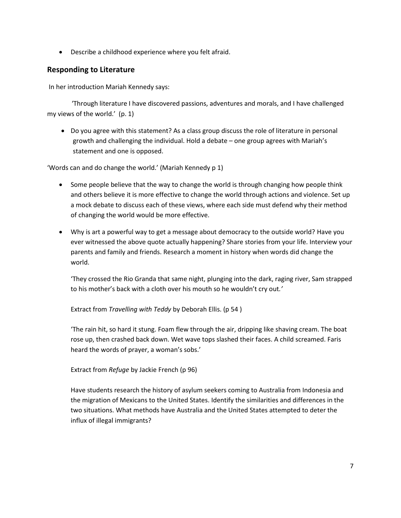Describe a childhood experience where you felt afraid.

## **Responding to Literature**

In her introduction Mariah Kennedy says:

 'Through literature I have discovered passions, adventures and morals, and I have challenged my views of the world.' (p. 1)

 Do you agree with this statement? As a class group discuss the role of literature in personal growth and challenging the individual. Hold a debate – one group agrees with Mariah's statement and one is opposed.

'Words can and do change the world.' (Mariah Kennedy p 1)

- Some people believe that the way to change the world is through changing how people think and others believe it is more effective to change the world through actions and violence. Set up a mock debate to discuss each of these views, where each side must defend why their method of changing the world would be more effective.
- Why is art a powerful way to get a message about democracy to the outside world? Have you ever witnessed the above quote actually happening? Share stories from your life. Interview your parents and family and friends. Research a moment in history when words did change the world.

'They crossed the Rio Granda that same night, plunging into the dark, raging river, Sam strapped to his mother's back with a cloth over his mouth so he wouldn't cry out*.'*

Extract from *Travelling with Teddy* by Deborah Ellis. (p 54 )

'The rain hit, so hard it stung. Foam flew through the air, dripping like shaving cream. The boat rose up, then crashed back down. Wet wave tops slashed their faces. A child screamed. Faris heard the words of prayer, a woman's sobs.'

Extract from *Refuge* by Jackie French (p 96)

Have students research the history of asylum seekers coming to Australia from Indonesia and the migration of Mexicans to the United States. Identify the similarities and differences in the two situations. What methods have Australia and the United States attempted to deter the influx of illegal immigrants?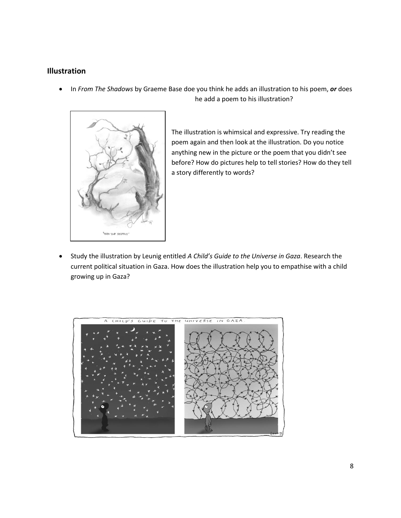## **Illustration**

 In *From The Shadows* by Graeme Base doe you think he adds an illustration to his poem, *or* does he add a poem to his illustration?



The illustration is whimsical and expressive. Try reading the poem again and then look at the illustration. Do you notice anything new in the picture or the poem that you didn't see before? How do pictures help to tell stories? How do they tell a story differently to words?

 Study the illustration by Leunig entitled *A Child's Guide to the Universe in Gaza*. Research the current political situation in Gaza. How does the illustration help you to empathise with a child growing up in Gaza?

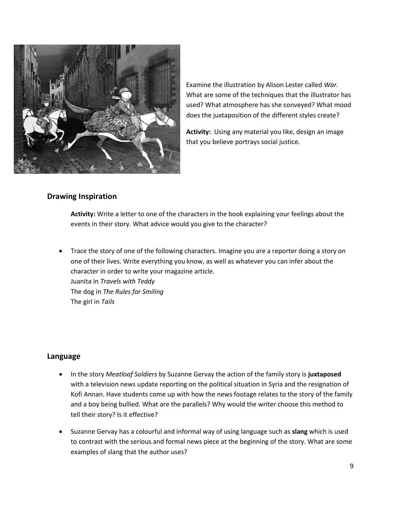

Examine the illustration by Alison Lester called *War.*  What are some of the techniques that the illustrator has used? What atmosphere has she conveyed? What mood does the juxtaposition of the different styles create?

**Activity:** Using any material you like, design an image that you believe portrays social justice.

#### **Drawing Inspiration**

**Activity:** Write a letter to one of the characters in the book explaining your feelings about the events in their story. What advice would you give to the character?

 Trace the story of one of the following characters. Imagine you are a reporter doing a story on one of their lives. Write everything you know, as well as whatever you can infer about the character in order to write your magazine article. Juanita in *Travels with Teddy* The dog in *The Rules for Smiling* The girl in *Tails*

#### **Language**

- In the story *Meatloaf Soldiers* by Suzanne Gervay the action of the family story is **juxtaposed**  with a television news update reporting on the political situation in Syria and the resignation of Kofi Annan. Have students come up with how the news footage relates to the story of the family and a boy being bullied. What are the parallels? Why would the writer choose this method to tell their story? Is it effective?
- Suzanne Gervay has a colourful and informal way of using language such as **slang** which is used to contrast with the serious and formal news piece at the beginning of the story. What are some examples of slang that the author uses?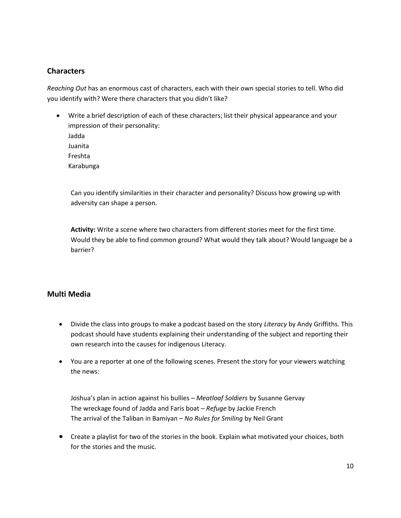### **Characters**

*Reaching Out* has an enormous cast of characters, each with their own special stories to tell. Who did you identify with? Were there characters that you didn't like?

 Write a brief description of each of these characters; list their physical appearance and your impression of their personality: Jadda Juanita Freshta Karabunga

Can you identify similarities in their character and personality? Discuss how growing up with adversity can shape a person.

**Activity:** Write a scene where two characters from different stories meet for the first time. Would they be able to find common ground? What would they talk about? Would language be a barrier?

#### **Multi Media**

- Divide the class into groups to make a podcast based on the story *Literacy* by Andy Griffiths. This podcast should have students explaining their understanding of the subject and reporting their own research into the causes for indigenous Literacy.
- You are a reporter at one of the following scenes. Present the story for your viewers watching the news:

Joshua's plan in action against his bullies – *Meatloaf Soldiers* by Susanne Gervay The wreckage found of Jadda and Faris boat – *Refuge* by Jackie French The arrival of the Taliban in Bamiyan – *No Rules for Smiling* by Neil Grant

 Create a playlist for two of the stories in the book. Explain what motivated your choices, both for the stories and the music.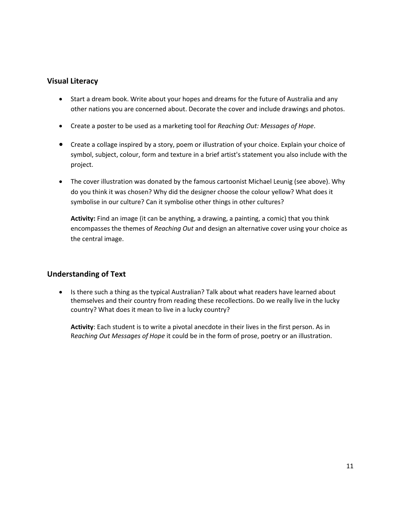### **Visual Literacy**

- Start a dream book. Write about your hopes and dreams for the future of Australia and any other nations you are concerned about. Decorate the cover and include drawings and photos.
- Create a poster to be used as a marketing tool for *Reaching Out: Messages of Hope*.
- Create a collage inspired by a story, poem or illustration of your choice. Explain your choice of symbol, subject, colour, form and texture in a brief artist's statement you also include with the project.
- The cover illustration was donated by the famous cartoonist Michael Leunig (see above). Why do you think it was chosen? Why did the designer choose the colour yellow? What does it symbolise in our culture? Can it symbolise other things in other cultures?

**Activity:** Find an image (it can be anything, a drawing, a painting, a comic) that you think encompasses the themes of *Reaching Out* and design an alternative cover using your choice as the central image.

### **Understanding of Text**

• Is there such a thing as the typical Australian? Talk about what readers have learned about themselves and their country from reading these recollections. Do we really live in the lucky country? What does it mean to live in a lucky country?

**Activity**: Each student is to write a pivotal anecdote in their lives in the first person. As in R*eaching Out Messages of Hope* it could be in the form of prose, poetry or an illustration.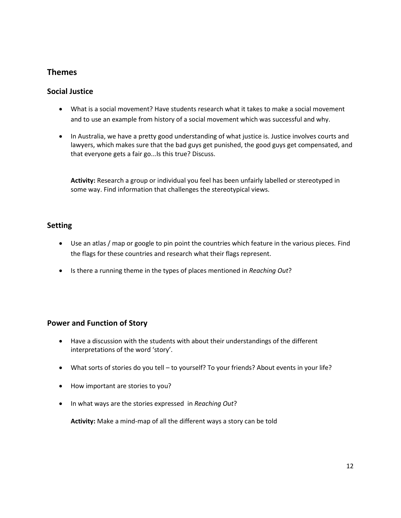## **Themes**

#### **Social Justice**

- What is a social movement? Have students research what it takes to make a social movement and to use an example from history of a social movement which was successful and why.
- In Australia, we have a pretty good understanding of what justice is. Justice involves courts and lawyers, which makes sure that the bad guys get punished, the good guys get compensated, and that everyone gets a fair go...Is this true? Discuss.

**Activity:** Research a group or individual you feel has been unfairly labelled or stereotyped in some way. Find information that challenges the stereotypical views.

#### **Setting**

- Use an atlas / map or google to pin point the countries which feature in the various pieces*.* Find the flags for these countries and research what their flags represent.
- Is there a running theme in the types of places mentioned in *Reaching Out*?

### **Power and Function of Story**

- Have a discussion with the students with about their understandings of the different interpretations of the word 'story'.
- What sorts of stories do you tell to yourself? To your friends? About events in your life?
- How important are stories to you?
- In what ways are the stories expressed in *Reaching Out*?

**Activity:** Make a mind-map of all the different ways a story can be told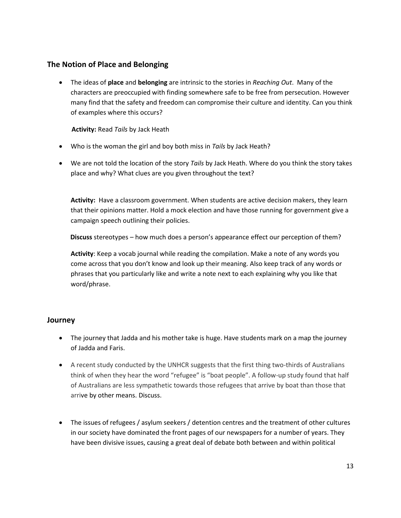## **The Notion of Place and Belonging**

 The ideas of **place** and **belonging** are intrinsic to the stories in *Reaching Out*. Many of the characters are preoccupied with finding somewhere safe to be free from persecution. However many find that the safety and freedom can compromise their culture and identity. Can you think of examples where this occurs?

 **Activity:** Read *Tails* by Jack Heath

- Who is the woman the girl and boy both miss in *Tails* by Jack Heath?
- We are not told the location of the story *Tails* by Jack Heath. Where do you think the story takes place and why? What clues are you given throughout the text?

**Activity:** Have a classroom government. When students are active decision makers, they learn that their opinions matter. Hold a mock election and have those running for government give a campaign speech outlining their policies.

 **Discuss** stereotypes – how much does a person's appearance effect our perception of them?

**Activity**: Keep a vocab journal while reading the compilation. Make a note of any words you come across that you don't know and look up their meaning. Also keep track of any words or phrases that you particularly like and write a note next to each explaining why you like that word/phrase.

### **Journey**

- The journey that Jadda and his mother take is huge. Have students mark on a map the journey of Jadda and Faris.
- A recent study conducted by the UNHCR suggests that the first thing two-thirds of Australians think of when they hear the word "refugee" is "boat people". A follow-up study found that half of Australians are less sympathetic towards those refugees that arrive by boat than those that arrive by other means. Discuss.
- The issues of refugees / asylum seekers / detention centres and the treatment of other cultures in our society have dominated the front pages of our newspapers for a number of years. They have been divisive issues, causing a great deal of debate both between and within political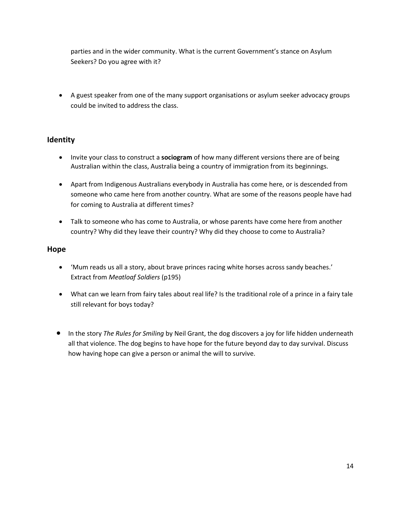parties and in the wider community. What is the current Government's stance on Asylum Seekers? Do you agree with it?

 A guest speaker from one of the many support organisations or asylum seeker advocacy groups could be invited to address the class.

## **Identity**

- Invite your class to construct a **sociogram** of how many different versions there are of being Australian within the class, Australia being a country of immigration from its beginnings.
- Apart from Indigenous Australians everybody in Australia has come here, or is descended from someone who came here from another country. What are some of the reasons people have had for coming to Australia at different times?
- Talk to someone who has come to Australia, or whose parents have come here from another country? Why did they leave their country? Why did they choose to come to Australia?

#### **Hope**

- 'Mum reads us all a story, about brave princes racing white horses across sandy beaches.' Extract from *Meatloaf Soldiers* (p195)
- What can we learn from fairy tales about real life? Is the traditional role of a prince in a fairy tale still relevant for boys today?
- **In the story** *The Rules for Smiling* by Neil Grant, the dog discovers a joy for life hidden underneath all that violence. The dog begins to have hope for the future beyond day to day survival. Discuss how having hope can give a person or animal the will to survive.